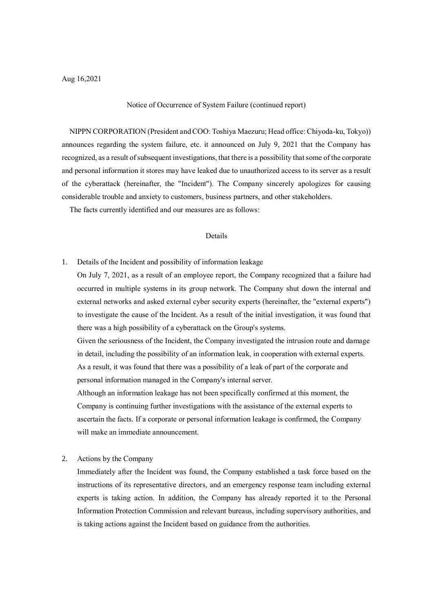Notice of Occurrence of System Failure (continued report)

NIPPN CORPORATION (President and COO: Toshiya Maezuru; Head office: Chiyoda-ku, Tokyo)) announces regarding the system failure, etc. it announced on July 9, 2021 that the Company has recognized, as a result of subsequent investigations, that there is a possibility that some of the corporate and personal information it stores may have leaked due to unauthorized access to its server as a result of the cyberattack (hereinafter, the "Incident"). The Company sincerely apologizes for causing considerable trouble and anxiety to customers, business partners, and other stakeholders.

The facts currently identified and our measures are as follows:

## Details

1. Details of the Incident and possibility of information leakage

On July 7, 2021, as a result of an employee report, the Company recognized that a failure had occurred in multiple systems in its group network. The Company shut down the internal and external networks and asked external cyber security experts (hereinafter, the "external experts") to investigate the cause of the Incident. As a result of the initial investigation, it was found that there was a high possibility of a cyberattack on the Group's systems.

Given the seriousness of the Incident, the Company investigated the intrusion route and damage in detail, including the possibility of an information leak, in cooperation with external experts. As a result, it was found that there was a possibility of a leak of part of the corporate and personal information managed in the Company's internal server.

Although an information leakage has not been specifically confirmed at this moment, the Company is continuing further investigations with the assistance of the external experts to ascertain the facts. If a corporate or personal information leakage is confirmed, the Company will make an immediate announcement.

2. Actions by the Company

Immediately after the Incident was found, the Company established a task force based on the instructions of its representative directors, and an emergency response team including external experts is taking action. In addition, the Company has already reported it to the Personal Information Protection Commission and relevant bureaus, including supervisory authorities, and is taking actions against the Incident based on guidance from the authorities.